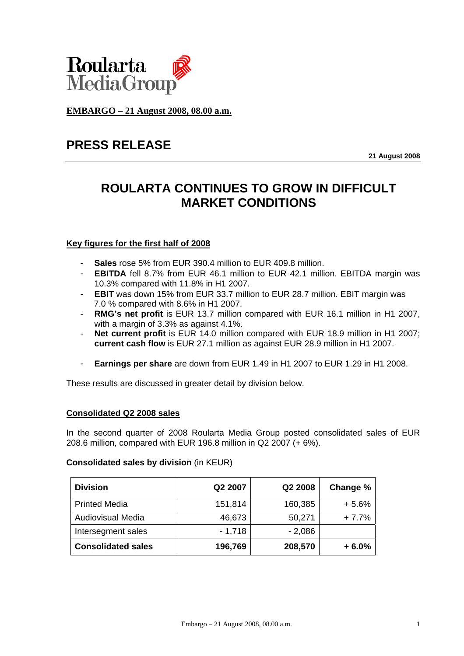

**EMBARGO – 21 August 2008, 08.00 a.m.**

# **PRESS RELEASE**

**21 August 2008** 

# **ROULARTA CONTINUES TO GROW IN DIFFICULT MARKET CONDITIONS**

# **Key figures for the first half of 2008**

- **Sales** rose 5% from EUR 390.4 million to EUR 409.8 million.
- **EBITDA** fell 8.7% from EUR 46.1 million to EUR 42.1 million. EBITDA margin was 10.3% compared with 11.8% in H1 2007.
- **EBIT** was down 15% from EUR 33.7 million to EUR 28.7 million. EBIT margin was 7.0 % compared with 8.6% in H1 2007.
- **RMG's net profit** is EUR 13.7 million compared with EUR 16.1 million in H1 2007, with a margin of 3.3% as against 4.1%.
- **Net current profit** is EUR 14.0 million compared with EUR 18.9 million in H1 2007; **current cash flow** is EUR 27.1 million as against EUR 28.9 million in H1 2007.
- **Earnings per share** are down from EUR 1.49 in H1 2007 to EUR 1.29 in H1 2008.

These results are discussed in greater detail by division below.

## **Consolidated Q2 2008 sales**

In the second quarter of 2008 Roularta Media Group posted consolidated sales of EUR 208.6 million, compared with EUR 196.8 million in Q2 2007 (+ 6%).

## **Consolidated sales by division** (in KEUR)

| <b>Division</b>           | Q2 2007  | Q2 2008  | Change % |
|---------------------------|----------|----------|----------|
| <b>Printed Media</b>      | 151,814  | 160,385  | $+5.6%$  |
| <b>Audiovisual Media</b>  | 46,673   | 50,271   | $+7.7%$  |
| Intersegment sales        | $-1,718$ | $-2,086$ |          |
| <b>Consolidated sales</b> | 196,769  | 208,570  | $+6.0%$  |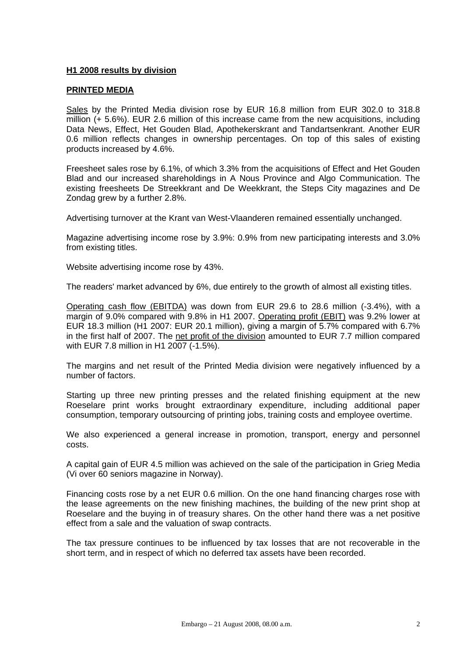## **H1 2008 results by division**

#### **PRINTED MEDIA**

Sales by the Printed Media division rose by EUR 16.8 million from EUR 302.0 to 318.8 million (+ 5.6%). EUR 2.6 million of this increase came from the new acquisitions, including Data News, Effect, Het Gouden Blad, Apothekerskrant and Tandartsenkrant. Another EUR 0.6 million reflects changes in ownership percentages. On top of this sales of existing products increased by 4.6%.

Freesheet sales rose by 6.1%, of which 3.3% from the acquisitions of Effect and Het Gouden Blad and our increased shareholdings in A Nous Province and Algo Communication. The existing freesheets De Streekkrant and De Weekkrant, the Steps City magazines and De Zondag grew by a further 2.8%.

Advertising turnover at the Krant van West-Vlaanderen remained essentially unchanged.

Magazine advertising income rose by 3.9%: 0.9% from new participating interests and 3.0% from existing titles.

Website advertising income rose by 43%.

The readers' market advanced by 6%, due entirely to the growth of almost all existing titles.

Operating cash flow (EBITDA) was down from EUR 29.6 to 28.6 million (-3.4%), with a margin of 9.0% compared with 9.8% in H1 2007. Operating profit (EBIT) was 9.2% lower at EUR 18.3 million (H1 2007: EUR 20.1 million), giving a margin of 5.7% compared with 6.7% in the first half of 2007. The net profit of the division amounted to EUR 7.7 million compared with EUR 7.8 million in H1 2007 (-1.5%).

The margins and net result of the Printed Media division were negatively influenced by a number of factors.

Starting up three new printing presses and the related finishing equipment at the new Roeselare print works brought extraordinary expenditure, including additional paper consumption, temporary outsourcing of printing jobs, training costs and employee overtime.

We also experienced a general increase in promotion, transport, energy and personnel costs.

A capital gain of EUR 4.5 million was achieved on the sale of the participation in Grieg Media (Vi over 60 seniors magazine in Norway).

Financing costs rose by a net EUR 0.6 million. On the one hand financing charges rose with the lease agreements on the new finishing machines, the building of the new print shop at Roeselare and the buying in of treasury shares. On the other hand there was a net positive effect from a sale and the valuation of swap contracts.

The tax pressure continues to be influenced by tax losses that are not recoverable in the short term, and in respect of which no deferred tax assets have been recorded.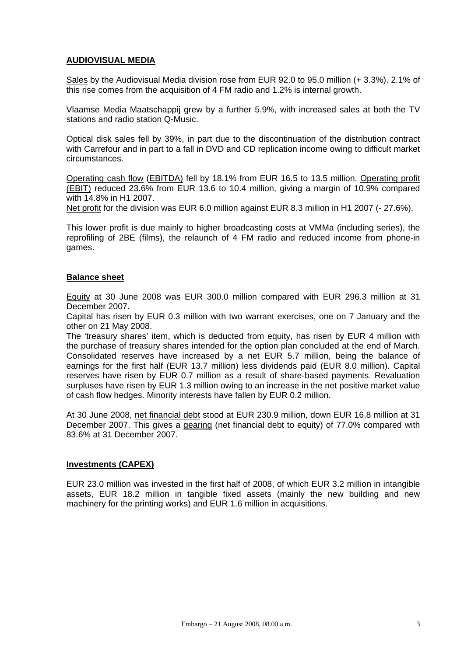# **AUDIOVISUAL MEDIA**

Sales by the Audiovisual Media division rose from EUR 92.0 to 95.0 million (+ 3.3%). 2.1% of this rise comes from the acquisition of 4 FM radio and 1.2% is internal growth.

Vlaamse Media Maatschappij grew by a further 5.9%, with increased sales at both the TV stations and radio station Q-Music.

Optical disk sales fell by 39%, in part due to the discontinuation of the distribution contract with Carrefour and in part to a fall in DVD and CD replication income owing to difficult market circumstances.

Operating cash flow (EBITDA) fell by 18.1% from EUR 16.5 to 13.5 million. Operating profit (EBIT) reduced 23.6% from EUR 13.6 to 10.4 million, giving a margin of 10.9% compared with 14.8% in H1 2007.

Net profit for the division was EUR 6.0 million against EUR 8.3 million in H1 2007 (- 27.6%).

This lower profit is due mainly to higher broadcasting costs at VMMa (including series), the reprofiling of 2BE (films), the relaunch of 4 FM radio and reduced income from phone-in games.

## **Balance sheet**

Equity at 30 June 2008 was EUR 300.0 million compared with EUR 296.3 million at 31 December 2007.

Capital has risen by EUR 0.3 million with two warrant exercises, one on 7 January and the other on 21 May 2008.

The 'treasury shares' item, which is deducted from equity, has risen by EUR 4 million with the purchase of treasury shares intended for the option plan concluded at the end of March. Consolidated reserves have increased by a net EUR 5.7 million, being the balance of earnings for the first half (EUR 13.7 million) less dividends paid (EUR 8.0 million). Capital reserves have risen by EUR 0.7 million as a result of share-based payments. Revaluation surpluses have risen by EUR 1.3 million owing to an increase in the net positive market value of cash flow hedges. Minority interests have fallen by EUR 0.2 million.

At 30 June 2008, net financial debt stood at EUR 230.9 million, down EUR 16.8 million at 31 December 2007. This gives a gearing (net financial debt to equity) of 77.0% compared with 83.6% at 31 December 2007.

#### **Investments (CAPEX)**

EUR 23.0 million was invested in the first half of 2008, of which EUR 3.2 million in intangible assets, EUR 18.2 million in tangible fixed assets (mainly the new building and new machinery for the printing works) and EUR 1.6 million in acquisitions.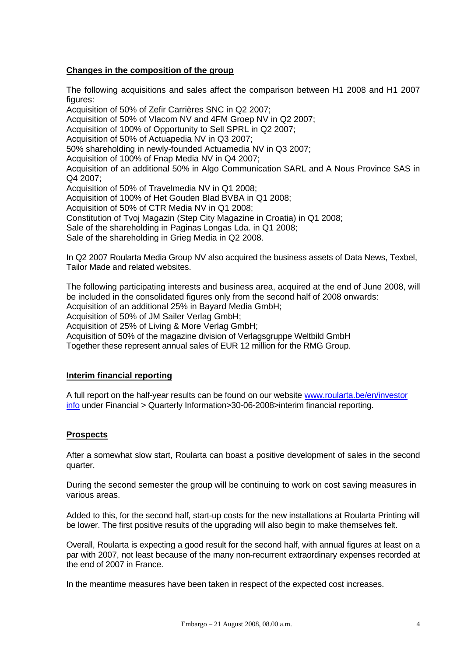## **Changes in the composition of the group**

The following acquisitions and sales affect the comparison between H1 2008 and H1 2007 figures:

Acquisition of 50% of Zefir Carrières SNC in Q2 2007; Acquisition of 50% of Vlacom NV and 4FM Groep NV in Q2 2007; Acquisition of 100% of Opportunity to Sell SPRL in Q2 2007; Acquisition of 50% of Actuapedia NV in Q3 2007; 50% shareholding in newly-founded Actuamedia NV in Q3 2007; Acquisition of 100% of Fnap Media NV in Q4 2007; Acquisition of an additional 50% in Algo Communication SARL and A Nous Province SAS in Q4 2007; Acquisition of 50% of Travelmedia NV in Q1 2008; Acquisition of 100% of Het Gouden Blad BVBA in Q1 2008; Acquisition of 50% of CTR Media NV in Q1 2008; Constitution of Tvoj Magazin (Step City Magazine in Croatia) in Q1 2008; Sale of the shareholding in Paginas Longas Lda. in Q1 2008; Sale of the shareholding in Grieg Media in Q2 2008.

In Q2 2007 Roularta Media Group NV also acquired the business assets of Data News, Texbel, Tailor Made and related websites.

The following participating interests and business area, acquired at the end of June 2008, will be included in the consolidated figures only from the second half of 2008 onwards: Acquisition of an additional 25% in Bayard Media GmbH;

Acquisition of 50% of JM Sailer Verlag GmbH;

Acquisition of 25% of Living & More Verlag GmbH;

Acquisition of 50% of the magazine division of Verlagsgruppe Weltbild GmbH

Together these represent annual sales of EUR 12 million for the RMG Group.

## **Interim financial reporting**

A full report on the half-year results can be found on our website www.roularta.be/en/investor info under Financial > Quarterly Information>30-06-2008>interim financial reporting.

## **Prospects**

After a somewhat slow start, Roularta can boast a positive development of sales in the second quarter.

During the second semester the group will be continuing to work on cost saving measures in various areas.

Added to this, for the second half, start-up costs for the new installations at Roularta Printing will be lower. The first positive results of the upgrading will also begin to make themselves felt.

Overall, Roularta is expecting a good result for the second half, with annual figures at least on a par with 2007, not least because of the many non-recurrent extraordinary expenses recorded at the end of 2007 in France.

In the meantime measures have been taken in respect of the expected cost increases.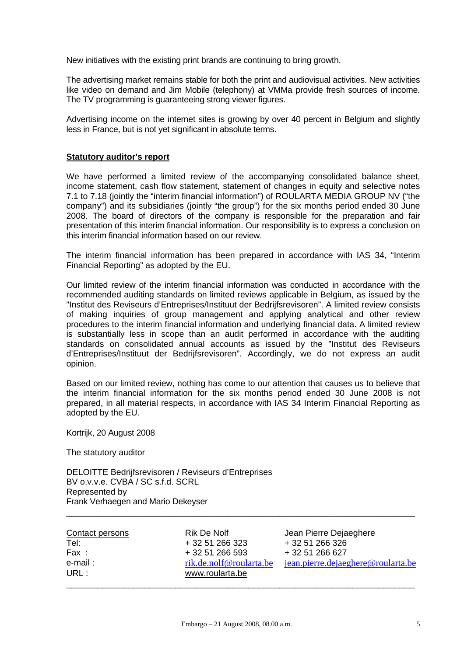New initiatives with the existing print brands are continuing to bring growth.

The advertising market remains stable for both the print and audiovisual activities. New activities like video on demand and Jim Mobile (telephony) at VMMa provide fresh sources of income. The TV programming is guaranteeing strong viewer figures.

Advertising income on the internet sites is growing by over 40 percent in Belgium and slightly less in France, but is not yet significant in absolute terms.

## **Statutory auditor's report**

We have performed a limited review of the accompanying consolidated balance sheet, income statement, cash flow statement, statement of changes in equity and selective notes 7.1 to 7.18 (jointly the "interim financial information") of ROULARTA MEDIA GROUP NV ("the company") and its subsidiaries (jointly "the group") for the six months period ended 30 June 2008. The board of directors of the company is responsible for the preparation and fair presentation of this interim financial information. Our responsibility is to express a conclusion on this interim financial information based on our review.

The interim financial information has been prepared in accordance with IAS 34, "Interim Financial Reporting" as adopted by the EU.

Our limited review of the interim financial information was conducted in accordance with the recommended auditing standards on limited reviews applicable in Belgium, as issued by the "Institut des Reviseurs d'Entreprises/Instituut der Bedrijfsrevisoren". A limited review consists of making inquiries of group management and applying analytical and other review procedures to the interim financial information and underlying financial data. A limited review is substantially less in scope than an audit performed in accordance with the auditing standards on consolidated annual accounts as issued by the "Institut des Reviseurs d'Entreprises/Instituut der Bedrijfsrevisoren". Accordingly, we do not express an audit opinion.

Based on our limited review, nothing has come to our attention that causes us to believe that the interim financial information for the six months period ended 30 June 2008 is not prepared, in all material respects, in accordance with IAS 34 Interim Financial Reporting as adopted by the EU.

Kortrijk, 20 August 2008

The statutory auditor

DELOITTE Bedrijfsrevisoren / Reviseurs d'Entreprises BV o.v.v.e. CVBA / SC s.f.d. SCRL Represented by Frank Verhaegen and Mario Dekeyser

| Contact persons | <b>Rik De Nolf</b>      | Jean Pierre Dejaeghere             |
|-----------------|-------------------------|------------------------------------|
| Tel:            | + 32 51 266 323         | + 32 51 266 326                    |
| Fax:            | + 32 51 266 593         | + 32 51 266 627                    |
| e-mail:         | rik.de.nolf@roularta.be | jean.pierre.dejaeghere@roularta.be |
| URL :           | www.roularta.be         |                                    |
|                 |                         |                                    |

\_\_\_\_\_\_\_\_\_\_\_\_\_\_\_\_\_\_\_\_\_\_\_\_\_\_\_\_\_\_\_\_\_\_\_\_\_\_\_\_\_\_\_\_\_\_\_\_\_\_\_\_\_\_\_\_\_\_\_\_\_\_\_\_\_\_\_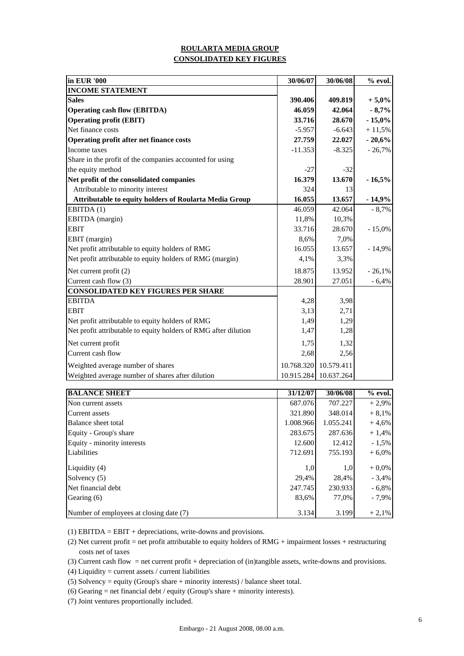## **CONSOLIDATED KEY FIGURES ROULARTA MEDIA GROUP**

| % evol.         |
|-----------------|
|                 |
| $+5,0%$         |
| $-8,7%$         |
| $-15,0%$        |
| $+11,5%$        |
| $-20,6%$        |
| $-26,7%$        |
|                 |
|                 |
| $-16,5%$        |
|                 |
| $-14,9%$        |
| $-8,7%$         |
|                 |
| $-15,0%$        |
|                 |
| $-14,9%$        |
|                 |
| $-26,1%$        |
| $-6,4%$         |
|                 |
|                 |
|                 |
|                 |
|                 |
|                 |
|                 |
|                 |
|                 |
| $\sim$ $\alpha$ |
|                 |

| <b>BALANCE SHEET</b>                    | 31/12/07  | 30/06/08  | $%$ evol. |
|-----------------------------------------|-----------|-----------|-----------|
| Non current assets                      | 687.076   | 707.227   | $+2.9%$   |
| Current assets                          | 321.890   | 348.014   | $+8,1%$   |
| Balance sheet total                     | 1.008.966 | 1.055.241 | $+4,6%$   |
| Equity - Group's share                  | 283.675   | 287.636   | $+1,4%$   |
| Equity - minority interests             | 12.600    | 12.412    | $-1,5%$   |
| Liabilities                             | 712.691   | 755.193   | $+6,0\%$  |
| Liquidity (4)                           | 1,0       | 1,0       | $+0,0%$   |
| Solvency (5)                            | 29,4%     | 28.4%     | $-3,4%$   |
| Net financial debt                      | 247.745   | 230.933   | $-6,8%$   |
| Gearing (6)                             | 83,6%     | 77.0%     | $-7.9\%$  |
| Number of employees at closing date (7) | 3.134     | 3.199     | $+2.1%$   |

(1) EBITDA = EBIT + depreciations, write-downs and provisions.

(2) Net current profit = net profit attributable to equity holders of RMG + impairment losses + restructuring costs net of taxes

(3) Current cash flow = net current profit + depreciation of (in)tangible assets, write-downs and provisions.

- (4) Liquidity = current assets / current liabilities
- (5) Solvency = equity (Group's share + minority interests) / balance sheet total.
- (6) Gearing  $=$  net financial debt / equity (Group's share  $+$  minority interests).
- (7) Joint ventures proportionally included.